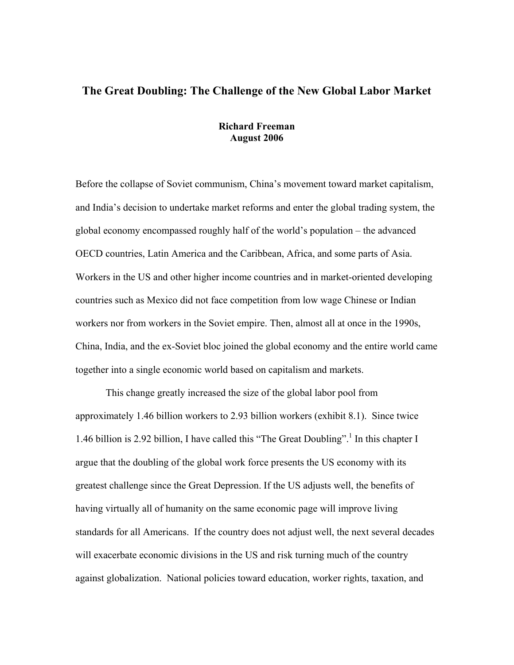# **The Great Doubling: The Challenge of the New Global Labor Market**

### **Richard Freeman August 2006**

Before the collapse of Soviet communism, China's movement toward market capitalism, and India's decision to undertake market reforms and enter the global trading system, the global economy encompassed roughly half of the world's population – the advanced OECD countries, Latin America and the Caribbean, Africa, and some parts of Asia. Workers in the US and other higher income countries and in market-oriented developing countries such as Mexico did not face competition from low wage Chinese or Indian workers nor from workers in the Soviet empire. Then, almost all at once in the 1990s, China, India, and the ex-Soviet bloc joined the global economy and the entire world came together into a single economic world based on capitalism and markets.

This change greatly increased the size of the global labor pool from approximately 1.46 billion workers to 2.93 billion workers (exhibit 8.1). Since twice 1.46 billion is 2.92 billion, I have called this "The Great Doubling".<sup>1</sup> In this chapter I argue that the doubling of the global work force presents the US economy with its greatest challenge since the Great Depression. If the US adjusts well, the benefits of having virtually all of humanity on the same economic page will improve living standards for all Americans. If the country does not adjust well, the next several decades will exacerbate economic divisions in the US and risk turning much of the country against globalization. National policies toward education, worker rights, taxation, and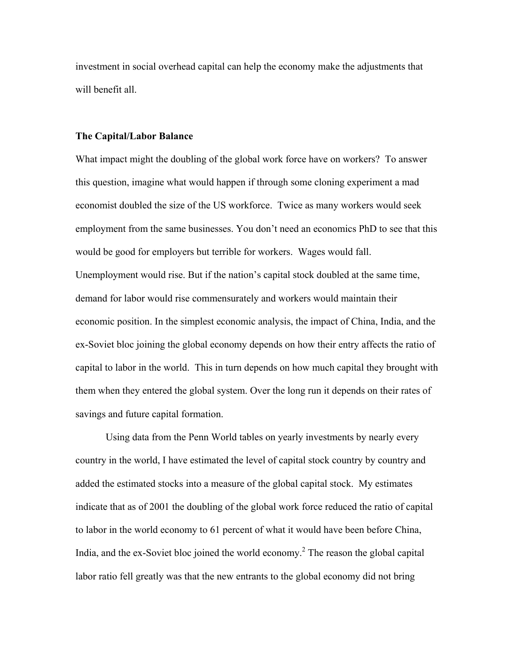investment in social overhead capital can help the economy make the adjustments that will benefit all.

#### **The Capital/Labor Balance**

What impact might the doubling of the global work force have on workers? To answer this question, imagine what would happen if through some cloning experiment a mad economist doubled the size of the US workforce. Twice as many workers would seek employment from the same businesses. You don't need an economics PhD to see that this would be good for employers but terrible for workers. Wages would fall. Unemployment would rise. But if the nation's capital stock doubled at the same time, demand for labor would rise commensurately and workers would maintain their economic position. In the simplest economic analysis, the impact of China, India, and the ex-Soviet bloc joining the global economy depends on how their entry affects the ratio of capital to labor in the world. This in turn depends on how much capital they brought with them when they entered the global system. Over the long run it depends on their rates of savings and future capital formation.

Using data from the Penn World tables on yearly investments by nearly every country in the world, I have estimated the level of capital stock country by country and added the estimated stocks into a measure of the global capital stock. My estimates indicate that as of 2001 the doubling of the global work force reduced the ratio of capital to labor in the world economy to 61 percent of what it would have been before China, India, and the ex-Soviet bloc joined the world economy.<sup>2</sup> The reason the global capital labor ratio fell greatly was that the new entrants to the global economy did not bring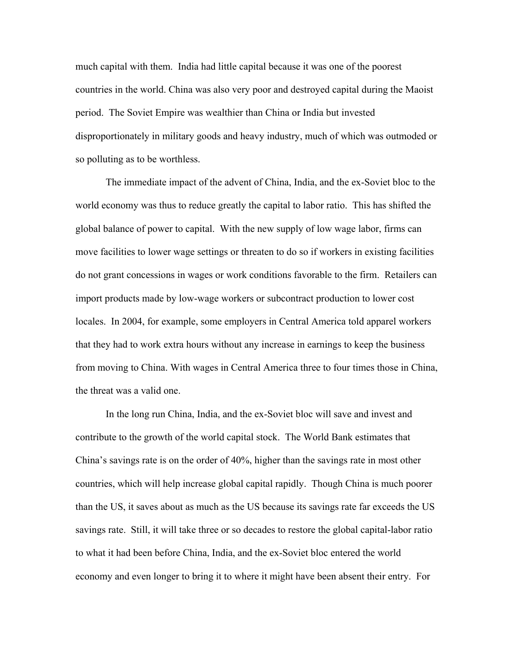much capital with them. India had little capital because it was one of the poorest countries in the world. China was also very poor and destroyed capital during the Maoist period. The Soviet Empire was wealthier than China or India but invested disproportionately in military goods and heavy industry, much of which was outmoded or so polluting as to be worthless.

The immediate impact of the advent of China, India, and the ex-Soviet bloc to the world economy was thus to reduce greatly the capital to labor ratio. This has shifted the global balance of power to capital. With the new supply of low wage labor, firms can move facilities to lower wage settings or threaten to do so if workers in existing facilities do not grant concessions in wages or work conditions favorable to the firm. Retailers can import products made by low-wage workers or subcontract production to lower cost locales. In 2004, for example, some employers in Central America told apparel workers that they had to work extra hours without any increase in earnings to keep the business from moving to China. With wages in Central America three to four times those in China, the threat was a valid one.

In the long run China, India, and the ex-Soviet bloc will save and invest and contribute to the growth of the world capital stock. The World Bank estimates that China's savings rate is on the order of 40%, higher than the savings rate in most other countries, which will help increase global capital rapidly. Though China is much poorer than the US, it saves about as much as the US because its savings rate far exceeds the US savings rate. Still, it will take three or so decades to restore the global capital-labor ratio to what it had been before China, India, and the ex-Soviet bloc entered the world economy and even longer to bring it to where it might have been absent their entry. For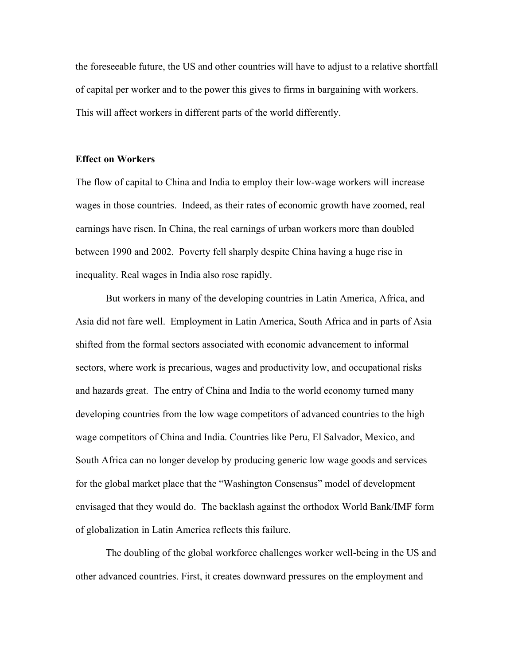the foreseeable future, the US and other countries will have to adjust to a relative shortfall of capital per worker and to the power this gives to firms in bargaining with workers. This will affect workers in different parts of the world differently.

#### **Effect on Workers**

The flow of capital to China and India to employ their low-wage workers will increase wages in those countries. Indeed, as their rates of economic growth have zoomed, real earnings have risen. In China, the real earnings of urban workers more than doubled between 1990 and 2002. Poverty fell sharply despite China having a huge rise in inequality. Real wages in India also rose rapidly.

But workers in many of the developing countries in Latin America, Africa, and Asia did not fare well. Employment in Latin America, South Africa and in parts of Asia shifted from the formal sectors associated with economic advancement to informal sectors, where work is precarious, wages and productivity low, and occupational risks and hazards great. The entry of China and India to the world economy turned many developing countries from the low wage competitors of advanced countries to the high wage competitors of China and India. Countries like Peru, El Salvador, Mexico, and South Africa can no longer develop by producing generic low wage goods and services for the global market place that the "Washington Consensus" model of development envisaged that they would do. The backlash against the orthodox World Bank/IMF form of globalization in Latin America reflects this failure.

The doubling of the global workforce challenges worker well-being in the US and other advanced countries. First, it creates downward pressures on the employment and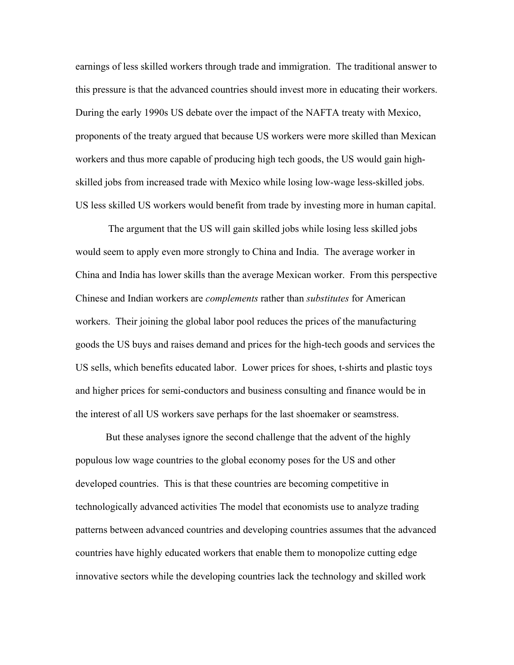earnings of less skilled workers through trade and immigration. The traditional answer to this pressure is that the advanced countries should invest more in educating their workers. During the early 1990s US debate over the impact of the NAFTA treaty with Mexico, proponents of the treaty argued that because US workers were more skilled than Mexican workers and thus more capable of producing high tech goods, the US would gain highskilled jobs from increased trade with Mexico while losing low-wage less-skilled jobs. US less skilled US workers would benefit from trade by investing more in human capital.

 The argument that the US will gain skilled jobs while losing less skilled jobs would seem to apply even more strongly to China and India. The average worker in China and India has lower skills than the average Mexican worker. From this perspective Chinese and Indian workers are *complements* rather than *substitutes* for American workers. Their joining the global labor pool reduces the prices of the manufacturing goods the US buys and raises demand and prices for the high-tech goods and services the US sells, which benefits educated labor. Lower prices for shoes, t-shirts and plastic toys and higher prices for semi-conductors and business consulting and finance would be in the interest of all US workers save perhaps for the last shoemaker or seamstress.

But these analyses ignore the second challenge that the advent of the highly populous low wage countries to the global economy poses for the US and other developed countries. This is that these countries are becoming competitive in technologically advanced activities The model that economists use to analyze trading patterns between advanced countries and developing countries assumes that the advanced countries have highly educated workers that enable them to monopolize cutting edge innovative sectors while the developing countries lack the technology and skilled work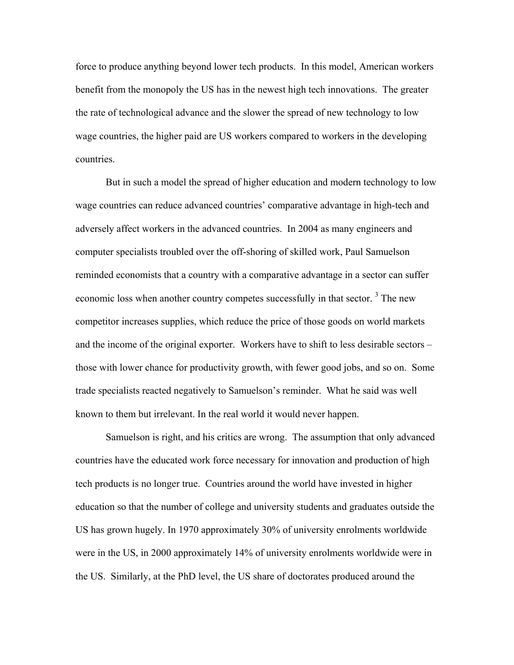force to produce anything beyond lower tech products. In this model, American workers benefit from the monopoly the US has in the newest high tech innovations. The greater the rate of technological advance and the slower the spread of new technology to low wage countries, the higher paid are US workers compared to workers in the developing countries.

 But in such a model the spread of higher education and modern technology to low wage countries can reduce advanced countries' comparative advantage in high-tech and adversely affect workers in the advanced countries. In 2004 as many engineers and computer specialists troubled over the off-shoring of skilled work, Paul Samuelson reminded economists that a country with a comparative advantage in a sector can suffer economic loss when another country competes successfully in that sector.<sup>3</sup> The new competitor increases supplies, which reduce the price of those goods on world markets and the income of the original exporter. Workers have to shift to less desirable sectors – those with lower chance for productivity growth, with fewer good jobs, and so on. Some trade specialists reacted negatively to Samuelson's reminder. What he said was well known to them but irrelevant. In the real world it would never happen.

Samuelson is right, and his critics are wrong. The assumption that only advanced countries have the educated work force necessary for innovation and production of high tech products is no longer true. Countries around the world have invested in higher education so that the number of college and university students and graduates outside the US has grown hugely. In 1970 approximately 30% of university enrolments worldwide were in the US, in 2000 approximately 14% of university enrolments worldwide were in the US. Similarly, at the PhD level, the US share of doctorates produced around the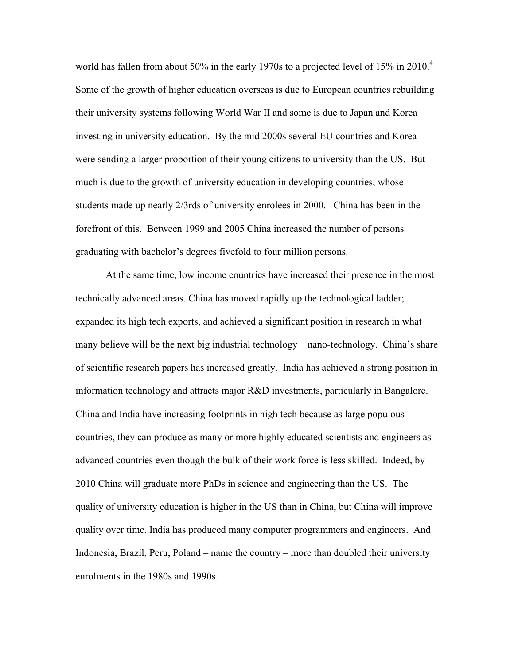world has fallen from about 50% in the early 1970s to a projected level of 15% in 2010.<sup>4</sup> Some of the growth of higher education overseas is due to European countries rebuilding their university systems following World War II and some is due to Japan and Korea investing in university education. By the mid 2000s several EU countries and Korea were sending a larger proportion of their young citizens to university than the US. But much is due to the growth of university education in developing countries, whose students made up nearly 2/3rds of university enrolees in 2000. China has been in the forefront of this. Between 1999 and 2005 China increased the number of persons graduating with bachelor's degrees fivefold to four million persons.

At the same time, low income countries have increased their presence in the most technically advanced areas. China has moved rapidly up the technological ladder; expanded its high tech exports, and achieved a significant position in research in what many believe will be the next big industrial technology – nano-technology. China's share of scientific research papers has increased greatly. India has achieved a strong position in information technology and attracts major R&D investments, particularly in Bangalore. China and India have increasing footprints in high tech because as large populous countries, they can produce as many or more highly educated scientists and engineers as advanced countries even though the bulk of their work force is less skilled. Indeed, by 2010 China will graduate more PhDs in science and engineering than the US. The quality of university education is higher in the US than in China, but China will improve quality over time. India has produced many computer programmers and engineers. And Indonesia, Brazil, Peru, Poland  $-$  name the country  $-$  more than doubled their university enrolments in the 1980s and 1990s.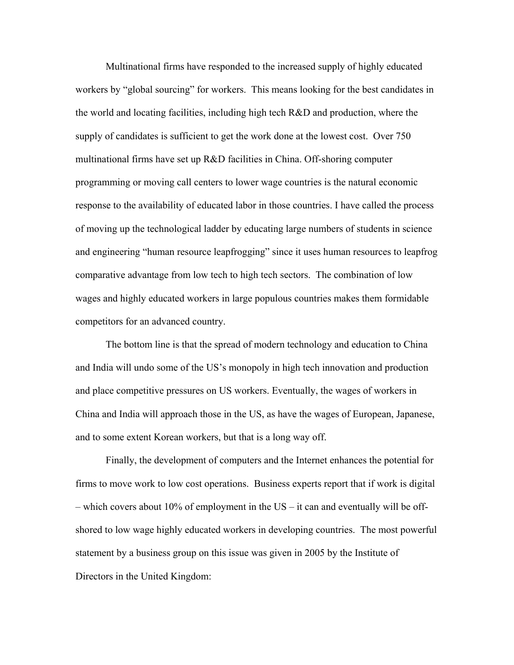Multinational firms have responded to the increased supply of highly educated workers by "global sourcing" for workers. This means looking for the best candidates in the world and locating facilities, including high tech R&D and production, where the supply of candidates is sufficient to get the work done at the lowest cost. Over 750 multinational firms have set up R&D facilities in China. Off-shoring computer programming or moving call centers to lower wage countries is the natural economic response to the availability of educated labor in those countries. I have called the process of moving up the technological ladder by educating large numbers of students in science and engineering "human resource leapfrogging" since it uses human resources to leapfrog comparative advantage from low tech to high tech sectors. The combination of low wages and highly educated workers in large populous countries makes them formidable competitors for an advanced country.

The bottom line is that the spread of modern technology and education to China and India will undo some of the US's monopoly in high tech innovation and production and place competitive pressures on US workers. Eventually, the wages of workers in China and India will approach those in the US, as have the wages of European, Japanese, and to some extent Korean workers, but that is a long way off.

Finally, the development of computers and the Internet enhances the potential for firms to move work to low cost operations. Business experts report that if work is digital – which covers about 10% of employment in the US – it can and eventually will be offshored to low wage highly educated workers in developing countries. The most powerful statement by a business group on this issue was given in 2005 by the Institute of Directors in the United Kingdom: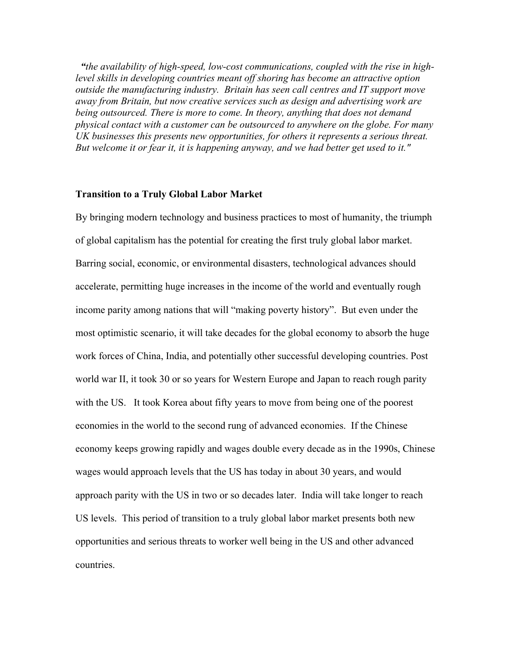*ìthe availability of high-speed, low-cost communications, coupled with the rise in highlevel skills in developing countries meant off shoring has become an attractive option outside the manufacturing industry. Britain has seen call centres and IT support move away from Britain, but now creative services such as design and advertising work are being outsourced. There is more to come. In theory, anything that does not demand physical contact with a customer can be outsourced to anywhere on the globe. For many UK businesses this presents new opportunities, for others it represents a serious threat. But welcome it or fear it, it is happening anyway, and we had better get used to it."* 

#### **Transition to a Truly Global Labor Market**

By bringing modern technology and business practices to most of humanity, the triumph of global capitalism has the potential for creating the first truly global labor market. Barring social, economic, or environmental disasters, technological advances should accelerate, permitting huge increases in the income of the world and eventually rough income parity among nations that will "making poverty history". But even under the most optimistic scenario, it will take decades for the global economy to absorb the huge work forces of China, India, and potentially other successful developing countries. Post world war II, it took 30 or so years for Western Europe and Japan to reach rough parity with the US. It took Korea about fifty years to move from being one of the poorest economies in the world to the second rung of advanced economies. If the Chinese economy keeps growing rapidly and wages double every decade as in the 1990s, Chinese wages would approach levels that the US has today in about 30 years, and would approach parity with the US in two or so decades later. India will take longer to reach US levels. This period of transition to a truly global labor market presents both new opportunities and serious threats to worker well being in the US and other advanced countries.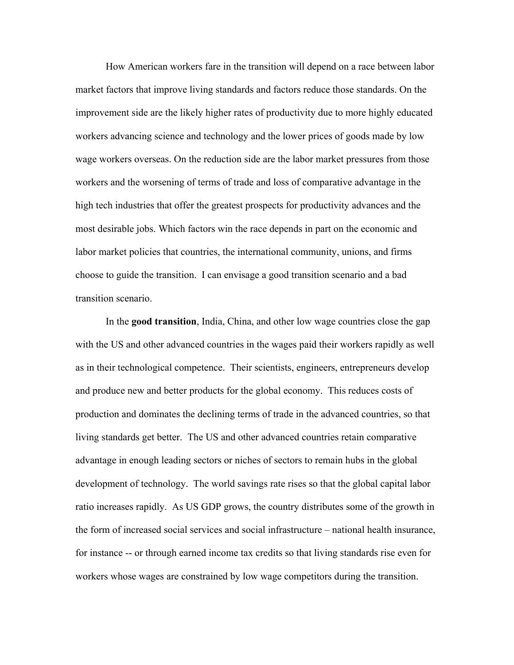How American workers fare in the transition will depend on a race between labor market factors that improve living standards and factors reduce those standards. On the improvement side are the likely higher rates of productivity due to more highly educated workers advancing science and technology and the lower prices of goods made by low wage workers overseas. On the reduction side are the labor market pressures from those workers and the worsening of terms of trade and loss of comparative advantage in the high tech industries that offer the greatest prospects for productivity advances and the most desirable jobs. Which factors win the race depends in part on the economic and labor market policies that countries, the international community, unions, and firms choose to guide the transition. I can envisage a good transition scenario and a bad transition scenario.

In the **good transition**, India, China, and other low wage countries close the gap with the US and other advanced countries in the wages paid their workers rapidly as well as in their technological competence. Their scientists, engineers, entrepreneurs develop and produce new and better products for the global economy. This reduces costs of production and dominates the declining terms of trade in the advanced countries, so that living standards get better. The US and other advanced countries retain comparative advantage in enough leading sectors or niches of sectors to remain hubs in the global development of technology. The world savings rate rises so that the global capital labor ratio increases rapidly. As US GDP grows, the country distributes some of the growth in the form of increased social services and social infrastructure  $-$  national health insurance, for instance -- or through earned income tax credits so that living standards rise even for workers whose wages are constrained by low wage competitors during the transition.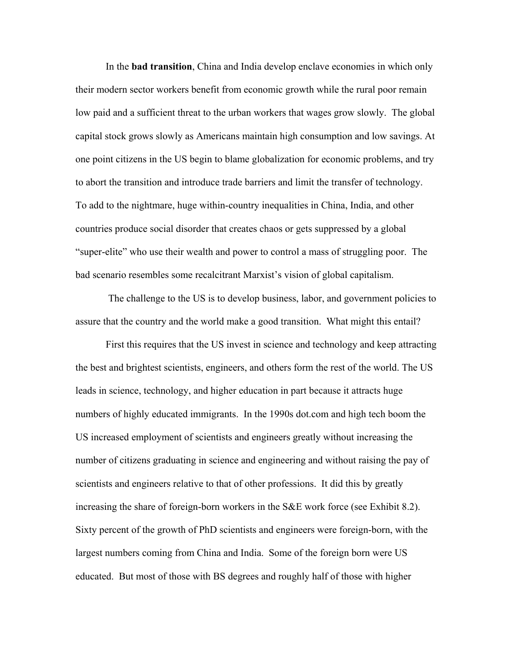In the **bad transition**, China and India develop enclave economies in which only their modern sector workers benefit from economic growth while the rural poor remain low paid and a sufficient threat to the urban workers that wages grow slowly. The global capital stock grows slowly as Americans maintain high consumption and low savings. At one point citizens in the US begin to blame globalization for economic problems, and try to abort the transition and introduce trade barriers and limit the transfer of technology. To add to the nightmare, huge within-country inequalities in China, India, and other countries produce social disorder that creates chaos or gets suppressed by a global "super-elite" who use their wealth and power to control a mass of struggling poor. The bad scenario resembles some recalcitrant Marxist's vision of global capitalism.

 The challenge to the US is to develop business, labor, and government policies to assure that the country and the world make a good transition. What might this entail?

First this requires that the US invest in science and technology and keep attracting the best and brightest scientists, engineers, and others form the rest of the world. The US leads in science, technology, and higher education in part because it attracts huge numbers of highly educated immigrants. In the 1990s dot.com and high tech boom the US increased employment of scientists and engineers greatly without increasing the number of citizens graduating in science and engineering and without raising the pay of scientists and engineers relative to that of other professions. It did this by greatly increasing the share of foreign-born workers in the S&E work force (see Exhibit 8.2). Sixty percent of the growth of PhD scientists and engineers were foreign-born, with the largest numbers coming from China and India. Some of the foreign born were US educated. But most of those with BS degrees and roughly half of those with higher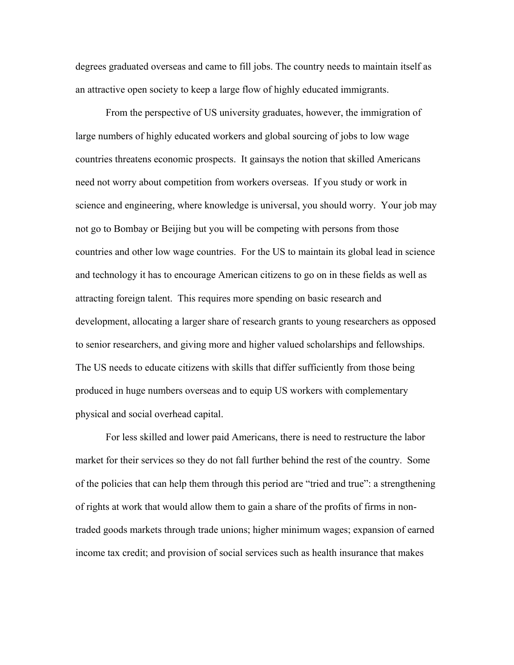degrees graduated overseas and came to fill jobs. The country needs to maintain itself as an attractive open society to keep a large flow of highly educated immigrants.

From the perspective of US university graduates, however, the immigration of large numbers of highly educated workers and global sourcing of jobs to low wage countries threatens economic prospects. It gainsays the notion that skilled Americans need not worry about competition from workers overseas. If you study or work in science and engineering, where knowledge is universal, you should worry. Your job may not go to Bombay or Beijing but you will be competing with persons from those countries and other low wage countries. For the US to maintain its global lead in science and technology it has to encourage American citizens to go on in these fields as well as attracting foreign talent. This requires more spending on basic research and development, allocating a larger share of research grants to young researchers as opposed to senior researchers, and giving more and higher valued scholarships and fellowships. The US needs to educate citizens with skills that differ sufficiently from those being produced in huge numbers overseas and to equip US workers with complementary physical and social overhead capital.

For less skilled and lower paid Americans, there is need to restructure the labor market for their services so they do not fall further behind the rest of the country. Some of the policies that can help them through this period are "tried and true": a strengthening of rights at work that would allow them to gain a share of the profits of firms in nontraded goods markets through trade unions; higher minimum wages; expansion of earned income tax credit; and provision of social services such as health insurance that makes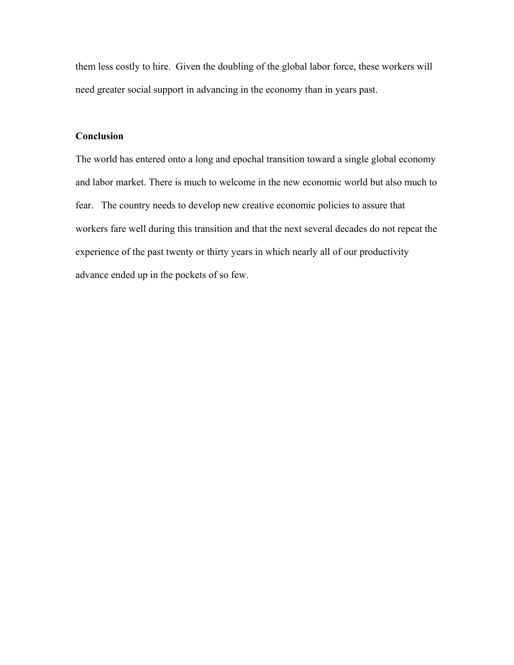them less costly to hire. Given the doubling of the global labor force, these workers will need greater social support in advancing in the economy than in years past.

### **Conclusion**

The world has entered onto a long and epochal transition toward a single global economy and labor market. There is much to welcome in the new economic world but also much to fear. The country needs to develop new creative economic policies to assure that workers fare well during this transition and that the next several decades do not repeat the experience of the past twenty or thirty years in which nearly all of our productivity advance ended up in the pockets of so few.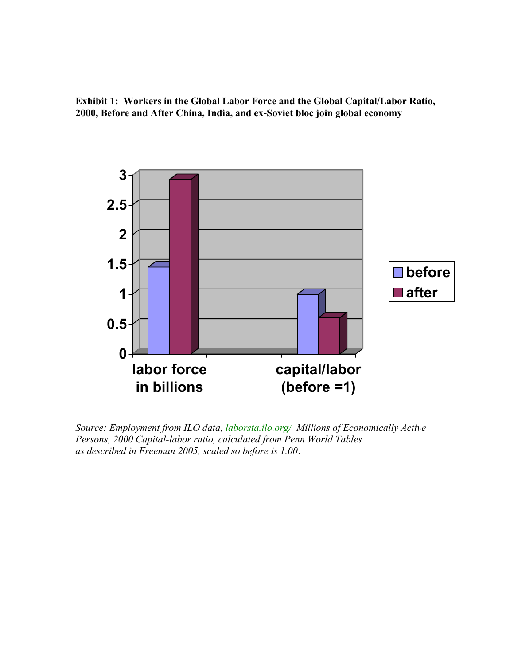**Exhibit 1: Workers in the Global Labor Force and the Global Capital/Labor Ratio, 2000, Before and After China, India, and ex-Soviet bloc join global economy**



*Source: Employment from ILO data, laborsta.ilo.org/ Millions of Economically Active Persons, 2000 Capital-labor ratio, calculated from Penn World Tables as described in Freeman 2005, scaled so before is 1.00*.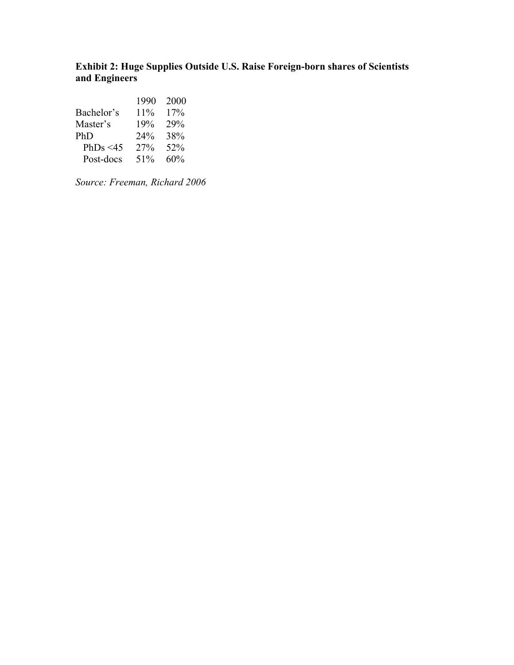## **Exhibit 2: Huge Supplies Outside U.S. Raise Foreign-born shares of Scientists and Engineers**

|                | 1990 | 2000 |
|----------------|------|------|
| Bachelor's     | 11%  | 17%  |
| Master's       | 19%  | 29%  |
| PhD            | 24%  | 38%  |
| PhDs $\leq 45$ | 27%  | 52%  |
| Post-docs      | 51%  | 60%  |

*Source: Freeman, Richard 2006*